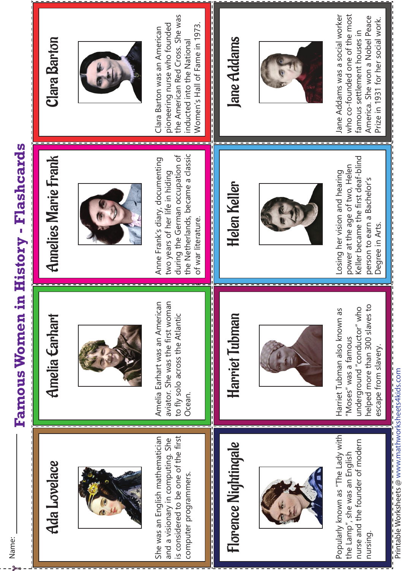## Famous Women in History - Flashcards **Famous Women in History - Flashcards**

#### Ada Lovelace

Name:



She was an English mathematician She was an English mathematician and a visionary in computing. She is considered to be one of the first is considered to be one of the first and a visionary in computing. She computer programmers. computer programmers.

# Florence Nightingale Harriet Tubman Helen Keller Florence Nightingale



Popularly known as "The Lady with Popularly known as "The Lady with nurse and the founder of modern nurse and the founder of modern the Lamp", she was an English the Lamp", she was an English nursing.

Amelia Earhart Amelia Earhart



aviator. She was the first woman Amelia Earhart was an American aviator. She was the first woman Amelia Earhart was an American to fly solo across the Atlantic to fly solo across the Atlantic Ocean.

#### Harriet Tubman

Helen Keller



helped more than 300 slaves to helped more than 300 slaves to underground "conductor" who Harriet Tubman also known as underground "conductor" who Harriet Tubman also known as "Moses" was a famous "Moses" was a famous escape from slavery. escape from slavery.

#### Annelies Marie Frank Annelies Marie Frank



during the German occupation of the Netherlands, became a classic the Netherlands, became a classic during the German occupation of Anne Frank's diary, documenting Anne Frank's diary, documenting two years of her life in hiding two years of her life in hiding of war literature. of war literature.

#### Clara Barton



the American Red Cross. She was the American Red Cross. She was pioneering nurse who founded pioneering nurse who founded Women's Hall of Fame in 1973. Women's Hall of Fame in 1973. Clara Barton was an American Clara Barton was an American inducted into the National inducted into the National

#### Jane Addams



who co-founded one of the most who co-founded one of the most Jane Addams was a social worker Jane Addams was a social worker America. She won a Nobel Peace America. She won a Nobel Peace Prize in 1931 for her social work. Prize in 1931 for her social work. famous settlement houses in famous settlement houses in

keller became the first deaf-blind Keller became the first deaf-blind power at the age of two, Helen power at the age of two, Helen Losing her vision and hearing Losing her vision and hearing person to earn a Bachelor's person to earn a Bachelor's Degree in Arts.

Degree in Arts.

Printable Worksheets @ www.mathworksheets4kids.com Printable Worksheets @ www.mathworksheets4kids.com